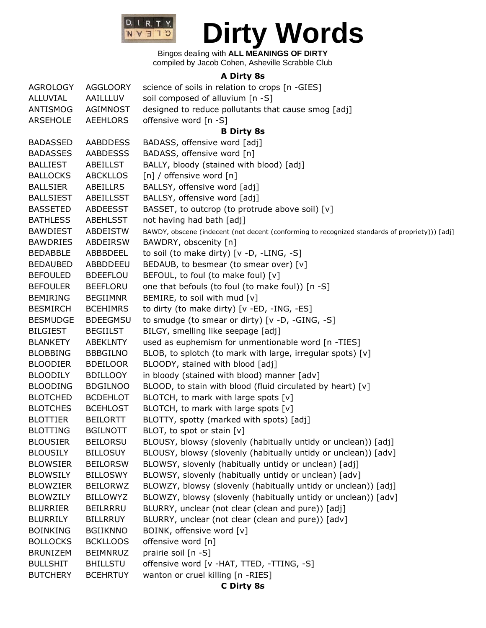

Bingos dealing with **ALL MEANINGS OF DIRTY** compiled by Jacob Cohen, Asheville Scrabble Club

#### **A Dirty 8s**

| <b>AGROLOGY</b>  | <b>AGGLOORY</b> | science of soils in relation to crops [n -GIES]                                                |  |  |  |
|------------------|-----------------|------------------------------------------------------------------------------------------------|--|--|--|
| ALLUVIAL         | AAILLLUV        | soil composed of alluvium [n -S]                                                               |  |  |  |
| ANTISMOG         | AGIMNOST        | designed to reduce pollutants that cause smog [adj]                                            |  |  |  |
| <b>ARSEHOLE</b>  | <b>AEEHLORS</b> | offensive word [n -S]                                                                          |  |  |  |
|                  |                 | <b>B Dirty 8s</b>                                                                              |  |  |  |
| <b>BADASSED</b>  | <b>AABDDESS</b> | BADASS, offensive word [adj]                                                                   |  |  |  |
| <b>BADASSES</b>  | <b>AABDESSS</b> | BADASS, offensive word [n]                                                                     |  |  |  |
| <b>BALLIEST</b>  | ABEILLST        | BALLY, bloody (stained with blood) [adj]                                                       |  |  |  |
| <b>BALLOCKS</b>  | <b>ABCKLLOS</b> | [n] / offensive word [n]                                                                       |  |  |  |
| <b>BALLSIER</b>  | ABEILLRS        | BALLSY, offensive word [adj]                                                                   |  |  |  |
| <b>BALLSIEST</b> | ABEILLSST       | BALLSY, offensive word [adj]                                                                   |  |  |  |
| <b>BASSETED</b>  | <b>ABDEESST</b> | BASSET, to outcrop (to protrude above soil) [v]                                                |  |  |  |
| <b>BATHLESS</b>  | <b>ABEHLSST</b> | not having had bath [adj]                                                                      |  |  |  |
| <b>BAWDIEST</b>  | ABDEISTW        | BAWDY, obscene (indecent (not decent (conforming to recognized standards of propriety))) [adj] |  |  |  |
| <b>BAWDRIES</b>  | ABDEIRSW        | BAWDRY, obscenity [n]                                                                          |  |  |  |
| <b>BEDABBLE</b>  | ABBBDEEL        | to soil (to make dirty) [v -D, -LING, -S]                                                      |  |  |  |
| <b>BEDAUBED</b>  | ABBDDEEU        | BEDAUB, to besmear (to smear over) [v]                                                         |  |  |  |
| <b>BEFOULED</b>  | <b>BDEEFLOU</b> | BEFOUL, to foul (to make foul) [v]                                                             |  |  |  |
| <b>BEFOULER</b>  | <b>BEEFLORU</b> | one that befouls (to foul (to make foul)) [n -S]                                               |  |  |  |
| <b>BEMIRING</b>  | <b>BEGIIMNR</b> | BEMIRE, to soil with mud [v]                                                                   |  |  |  |
| <b>BESMIRCH</b>  | <b>BCEHIMRS</b> | to dirty (to make dirty) [v -ED, -ING, -ES]                                                    |  |  |  |
| <b>BESMUDGE</b>  | <b>BDEEGMSU</b> | to smudge (to smear or dirty) [v -D, -GING, -S]                                                |  |  |  |
| <b>BILGIEST</b>  | <b>BEGIILST</b> | BILGY, smelling like seepage [adj]                                                             |  |  |  |
| <b>BLANKETY</b>  | <b>ABEKLNTY</b> | used as euphemism for unmentionable word [n -TIES]                                             |  |  |  |
| <b>BLOBBING</b>  | <b>BBBGILNO</b> | BLOB, to splotch (to mark with large, irregular spots) [v]                                     |  |  |  |
| <b>BLOODIER</b>  | <b>BDEILOOR</b> | BLOODY, stained with blood [adj]                                                               |  |  |  |
| <b>BLOODILY</b>  | <b>BDILLOOY</b> | in bloody (stained with blood) manner [adv]                                                    |  |  |  |
| <b>BLOODING</b>  | <b>BDGILNOO</b> | BLOOD, to stain with blood (fluid circulated by heart) [v]                                     |  |  |  |
| <b>BLOTCHED</b>  | <b>BCDEHLOT</b> | BLOTCH, to mark with large spots [v]                                                           |  |  |  |
| <b>BLOTCHES</b>  | <b>BCEHLOST</b> | BLOTCH, to mark with large spots [v]                                                           |  |  |  |
| <b>BLOTTIER</b>  | <b>BEILORTT</b> | BLOTTY, spotty (marked with spots) [adj]                                                       |  |  |  |
| <b>BLOTTING</b>  | <b>BGILNOTT</b> | BLOT, to spot or stain $[v]$                                                                   |  |  |  |
| <b>BLOUSIER</b>  | <b>BEILORSU</b> | BLOUSY, blowsy (slovenly (habitually untidy or unclean)) [adj]                                 |  |  |  |
| <b>BLOUSILY</b>  | <b>BILLOSUY</b> | BLOUSY, blowsy (slovenly (habitually untidy or unclean)) [adv]                                 |  |  |  |
| <b>BLOWSIER</b>  | <b>BEILORSW</b> | BLOWSY, slovenly (habitually untidy or unclean) [adj]                                          |  |  |  |
| <b>BLOWSILY</b>  | <b>BILLOSWY</b> | BLOWSY, slovenly (habitually untidy or unclean) [adv]                                          |  |  |  |
| <b>BLOWZIER</b>  | <b>BEILORWZ</b> | BLOWZY, blowsy (slovenly (habitually untidy or unclean)) [adj]                                 |  |  |  |
| <b>BLOWZILY</b>  | <b>BILLOWYZ</b> | BLOWZY, blowsy (slovenly (habitually untidy or unclean)) [adv]                                 |  |  |  |
| <b>BLURRIER</b>  | <b>BEILRRRU</b> | BLURRY, unclear (not clear (clean and pure)) [adj]                                             |  |  |  |
| <b>BLURRILY</b>  | <b>BILLRRUY</b> | BLURRY, unclear (not clear (clean and pure)) [adv]                                             |  |  |  |
| <b>BOINKING</b>  | <b>BGIIKNNO</b> | BOINK, offensive word [v]                                                                      |  |  |  |
| <b>BOLLOCKS</b>  | <b>BCKLLOOS</b> | offensive word [n]                                                                             |  |  |  |
| <b>BRUNIZEM</b>  | <b>BEIMNRUZ</b> | prairie soil [n -S]                                                                            |  |  |  |
| <b>BULLSHIT</b>  | <b>BHILLSTU</b> | offensive word [v -HAT, TTED, -TTING, -S]                                                      |  |  |  |
| <b>BUTCHERY</b>  | <b>BCEHRTUY</b> | wanton or cruel killing [n -RIES]                                                              |  |  |  |

**C Dirty 8s**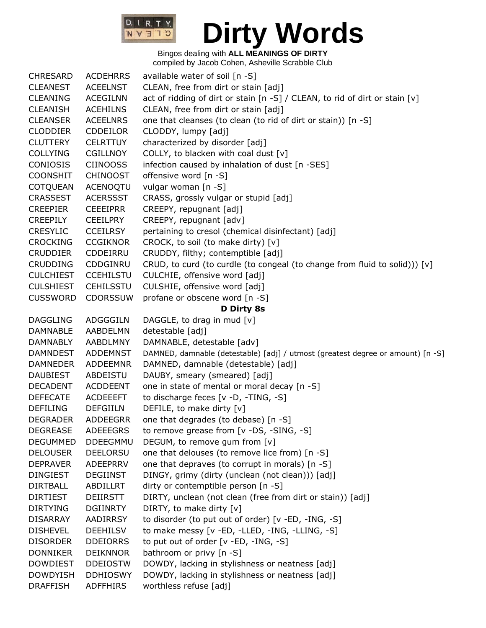

| <b>CHRESARD</b>  | <b>ACDEHRRS</b>  | available water of soil [n -S]                                                  |  |  |  |
|------------------|------------------|---------------------------------------------------------------------------------|--|--|--|
| <b>CLEANEST</b>  | <b>ACEELNST</b>  | CLEAN, free from dirt or stain [adj]                                            |  |  |  |
| <b>CLEANING</b>  | <b>ACEGILNN</b>  | act of ridding of dirt or stain [n -S] / CLEAN, to rid of dirt or stain [v]     |  |  |  |
| <b>CLEANISH</b>  | <b>ACEHILNS</b>  | CLEAN, free from dirt or stain [adj]                                            |  |  |  |
| <b>CLEANSER</b>  | <b>ACEELNRS</b>  | one that cleanses (to clean (to rid of dirt or stain)) [n -S]                   |  |  |  |
| <b>CLODDIER</b>  | <b>CDDEILOR</b>  | CLODDY, lumpy [adj]                                                             |  |  |  |
| <b>CLUTTERY</b>  | <b>CELRTTUY</b>  | characterized by disorder [adj]                                                 |  |  |  |
| <b>COLLYING</b>  | <b>CGILLNOY</b>  | COLLY, to blacken with coal dust [v]                                            |  |  |  |
| CONIOSIS         | <b>CIINOOSS</b>  | infection caused by inhalation of dust [n -SES]                                 |  |  |  |
| <b>COONSHIT</b>  | <b>CHINOOST</b>  | offensive word [n -S]                                                           |  |  |  |
| <b>COTQUEAN</b>  | ACENOQTU         | vulgar woman [n -S]                                                             |  |  |  |
| <b>CRASSEST</b>  | <b>ACERSSST</b>  | CRASS, grossly vulgar or stupid [adj]                                           |  |  |  |
| <b>CREEPIER</b>  | <b>CEEEIPRR</b>  | CREEPY, repugnant [adj]                                                         |  |  |  |
| <b>CREEPILY</b>  | <b>CEEILPRY</b>  | CREEPY, repugnant [adv]                                                         |  |  |  |
| <b>CRESYLIC</b>  | <b>CCEILRSY</b>  | pertaining to cresol (chemical disinfectant) [adj]                              |  |  |  |
| <b>CROCKING</b>  | <b>CCGIKNOR</b>  | CROCK, to soil (to make dirty) [v]                                              |  |  |  |
| <b>CRUDDIER</b>  | CDDEIRRU         | CRUDDY, filthy; contemptible [adj]                                              |  |  |  |
| <b>CRUDDING</b>  | CDDGINRU         | CRUD, to curd (to curdle (to congeal (to change from fluid to solid))) [v]      |  |  |  |
| <b>CULCHIEST</b> | <b>CCEHILSTU</b> | CULCHIE, offensive word [adj]                                                   |  |  |  |
| <b>CULSHIEST</b> | <b>CEHILSSTU</b> | CULSHIE, offensive word [adj]                                                   |  |  |  |
| <b>CUSSWORD</b>  | <b>CDORSSUW</b>  | profane or obscene word [n -S]                                                  |  |  |  |
|                  |                  | D Dirty 8s                                                                      |  |  |  |
| <b>DAGGLING</b>  | ADGGGILN         | DAGGLE, to drag in mud [v]                                                      |  |  |  |
| <b>DAMNABLE</b>  | AABDELMN         | detestable [adj]                                                                |  |  |  |
| DAMNABLY         | AABDLMNY         | DAMNABLE, detestable [adv]                                                      |  |  |  |
| <b>DAMNDEST</b>  | <b>ADDEMNST</b>  | DAMNED, damnable (detestable) [adj] / utmost (greatest degree or amount) [n -S] |  |  |  |
| <b>DAMNEDER</b>  | <b>ADDEEMNR</b>  | DAMNED, damnable (detestable) [adj]                                             |  |  |  |
| <b>DAUBIEST</b>  | ABDEISTU         | DAUBY, smeary (smeared) [adj]                                                   |  |  |  |
| <b>DECADENT</b>  | <b>ACDDEENT</b>  | one in state of mental or moral decay [n -S]                                    |  |  |  |
| <b>DEFECATE</b>  | <b>ACDEEEFT</b>  | to discharge feces [v -D, -TING, -S]                                            |  |  |  |
| <b>DEFILING</b>  | <b>DEFGIILN</b>  | DEFILE, to make dirty [v]                                                       |  |  |  |
| <b>DEGRADER</b>  | ADDEEGRR         | one that degrades (to debase) [n -S]                                            |  |  |  |
| <b>DEGREASE</b>  | <b>ADEEEGRS</b>  | to remove grease from [v -DS, -SING, -S]                                        |  |  |  |
| <b>DEGUMMED</b>  | DDEEGMMU         | DEGUM, to remove gum from [v]                                                   |  |  |  |
| <b>DELOUSER</b>  | <b>DEELORSU</b>  | one that delouses (to remove lice from) [n -S]                                  |  |  |  |
| <b>DEPRAVER</b>  | ADEEPRRV         | one that depraves (to corrupt in morals) [n -S]                                 |  |  |  |
| <b>DINGIEST</b>  | <b>DEGIINST</b>  | DINGY, grimy (dirty (unclean (not clean))) [adj]                                |  |  |  |
| <b>DIRTBALL</b>  | ABDILLRT         | dirty or contemptible person [n -S]                                             |  |  |  |
| <b>DIRTIEST</b>  | <b>DEIIRSTT</b>  | DIRTY, unclean (not clean (free from dirt or stain)) [adj]                      |  |  |  |
| <b>DIRTYING</b>  | <b>DGIINRTY</b>  | DIRTY, to make dirty [v]                                                        |  |  |  |
| <b>DISARRAY</b>  | AADIRRSY         | to disorder (to put out of order) [v -ED, -ING, -S]                             |  |  |  |
| <b>DISHEVEL</b>  | <b>DEEHILSV</b>  | to make messy [v -ED, -LLED, -ING, -LLING, -S]                                  |  |  |  |
| <b>DISORDER</b>  | <b>DDEIORRS</b>  | to put out of order [v -ED, -ING, -S]                                           |  |  |  |
| <b>DONNIKER</b>  | <b>DEIKNNOR</b>  | bathroom or privy [n -S]                                                        |  |  |  |
| <b>DOWDIEST</b>  | <b>DDEIOSTW</b>  | DOWDY, lacking in stylishness or neatness [adj]                                 |  |  |  |
| <b>DOWDYISH</b>  | <b>DDHIOSWY</b>  | DOWDY, lacking in stylishness or neatness [adj]                                 |  |  |  |
| <b>DRAFFISH</b>  | <b>ADFFHIRS</b>  | worthless refuse [adj]                                                          |  |  |  |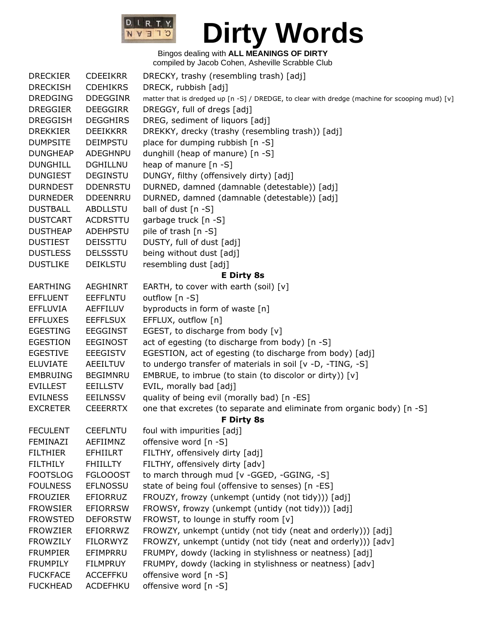

| <b>DRECKIER</b> | <b>CDEEIKRR</b> | DRECKY, trashy (resembling trash) [adj]                                                        |  |  |  |
|-----------------|-----------------|------------------------------------------------------------------------------------------------|--|--|--|
| <b>DRECKISH</b> | <b>CDEHIKRS</b> | DRECK, rubbish [adj]                                                                           |  |  |  |
| <b>DREDGING</b> | <b>DDEGGINR</b> | matter that is dredged up [n -S] / DREDGE, to clear with dredge (machine for scooping mud) [v] |  |  |  |
| <b>DREGGIER</b> | <b>DEEGGIRR</b> | DREGGY, full of dregs [adj]                                                                    |  |  |  |
| <b>DREGGISH</b> | <b>DEGGHIRS</b> | DREG, sediment of liquors [adj]                                                                |  |  |  |
| <b>DREKKIER</b> | <b>DEEIKKRR</b> | DREKKY, drecky (trashy (resembling trash)) [adj]                                               |  |  |  |
| <b>DUMPSITE</b> | <b>DEIMPSTU</b> | place for dumping rubbish [n -S]                                                               |  |  |  |
| <b>DUNGHEAP</b> | ADEGHNPU        | dunghill (heap of manure) [n -S]                                                               |  |  |  |
| <b>DUNGHILL</b> | <b>DGHILLNU</b> | heap of manure [n -S]                                                                          |  |  |  |
| <b>DUNGIEST</b> | <b>DEGINSTU</b> | DUNGY, filthy (offensively dirty) [adj]                                                        |  |  |  |
| <b>DURNDEST</b> | <b>DDENRSTU</b> | DURNED, damned (damnable (detestable)) [adj]                                                   |  |  |  |
| <b>DURNEDER</b> | <b>DDEENRRU</b> | DURNED, damned (damnable (detestable)) [adj]                                                   |  |  |  |
| <b>DUSTBALL</b> | <b>ABDLLSTU</b> | ball of dust [n -S]                                                                            |  |  |  |
| <b>DUSTCART</b> | <b>ACDRSTTU</b> | garbage truck [n -S]                                                                           |  |  |  |
| <b>DUSTHEAP</b> | ADEHPSTU        | pile of trash [n -S]                                                                           |  |  |  |
| <b>DUSTIEST</b> | <b>DEISSTTU</b> | DUSTY, full of dust [adj]                                                                      |  |  |  |
| <b>DUSTLESS</b> | <b>DELSSSTU</b> | being without dust [adj]                                                                       |  |  |  |
| <b>DUSTLIKE</b> | <b>DEIKLSTU</b> | resembling dust [adj]                                                                          |  |  |  |
|                 |                 | <b>E Dirty 8s</b>                                                                              |  |  |  |
| <b>EARTHING</b> | <b>AEGHINRT</b> | EARTH, to cover with earth (soil) [v]                                                          |  |  |  |
| <b>EFFLUENT</b> | <b>EEFFLNTU</b> | outflow [n -S]                                                                                 |  |  |  |
| <b>EFFLUVIA</b> | AEFFILUV        | byproducts in form of waste [n]                                                                |  |  |  |
| <b>EFFLUXES</b> | <b>EEFFLSUX</b> | EFFLUX, outflow [n]                                                                            |  |  |  |
| <b>EGESTING</b> | <b>EEGGINST</b> | EGEST, to discharge from body [v]                                                              |  |  |  |
| <b>EGESTION</b> | <b>EEGINOST</b> | act of egesting (to discharge from body) [n -S]                                                |  |  |  |
| <b>EGESTIVE</b> | <b>EEEGISTV</b> | EGESTION, act of egesting (to discharge from body) [adj]                                       |  |  |  |
| <b>ELUVIATE</b> | AEEILTUV        | to undergo transfer of materials in soil [v -D, -TING, -S]                                     |  |  |  |
| <b>EMBRUING</b> | <b>BEGIMNRU</b> | EMBRUE, to imbrue (to stain (to discolor or dirty)) [v]                                        |  |  |  |
| <b>EVILLEST</b> | <b>EEILLSTV</b> | EVIL, morally bad [adj]                                                                        |  |  |  |
| <b>EVILNESS</b> | <b>EEILNSSV</b> | quality of being evil (morally bad) [n -ES]                                                    |  |  |  |
| <b>EXCRETER</b> | <b>CEEERRTX</b> | one that excretes (to separate and eliminate from organic body) [n -S]                         |  |  |  |
|                 |                 | F Dirty 8s                                                                                     |  |  |  |
| <b>FECULENT</b> | <b>CEEFLNTU</b> | foul with impurities [adj]                                                                     |  |  |  |
| FEMINAZI        | AEFIIMNZ        | offensive word [n -S]                                                                          |  |  |  |
| <b>FILTHIER</b> | <b>EFHIILRT</b> | FILTHY, offensively dirty [adj]                                                                |  |  |  |
| <b>FILTHILY</b> | <b>FHIILLTY</b> | FILTHY, offensively dirty [adv]                                                                |  |  |  |
| <b>FOOTSLOG</b> | <b>FGLOOOST</b> | to march through mud [v -GGED, -GGING, -S]                                                     |  |  |  |
| <b>FOULNESS</b> | <b>EFLNOSSU</b> | state of being foul (offensive to senses) [n -ES]                                              |  |  |  |
| <b>FROUZIER</b> | <b>EFIORRUZ</b> | FROUZY, frowzy (unkempt (untidy (not tidy))) [adj]                                             |  |  |  |
| <b>FROWSIER</b> | <b>EFIORRSW</b> | FROWSY, frowzy (unkempt (untidy (not tidy))) [adj]                                             |  |  |  |
| <b>FROWSTED</b> | <b>DEFORSTW</b> | FROWST, to lounge in stuffy room [v]                                                           |  |  |  |
| <b>FROWZIER</b> | EFIORRWZ        | FROWZY, unkempt (untidy (not tidy (neat and orderly))) [adj]                                   |  |  |  |
| <b>FROWZILY</b> | <b>FILORWYZ</b> | FROWZY, unkempt (untidy (not tidy (neat and orderly))) [adv]                                   |  |  |  |
| <b>FRUMPIER</b> | EFIMPRRU        | FRUMPY, dowdy (lacking in stylishness or neatness) [adj]                                       |  |  |  |
| <b>FRUMPILY</b> | <b>FILMPRUY</b> | FRUMPY, dowdy (lacking in stylishness or neatness) [adv]                                       |  |  |  |
| <b>FUCKFACE</b> | ACCEFFKU        | offensive word [n -S]                                                                          |  |  |  |
| <b>FUCKHEAD</b> | ACDEFHKU        | offensive word [n -S]                                                                          |  |  |  |
|                 |                 |                                                                                                |  |  |  |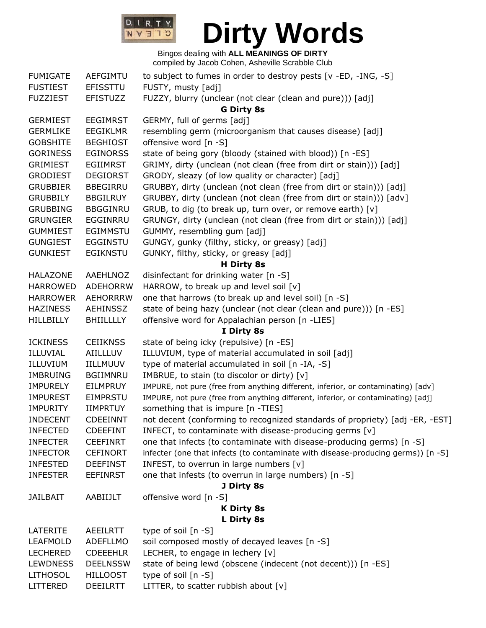

| <b>FUMIGATE</b>  | <b>AEFGIMTU</b>  | to subject to fumes in order to destroy pests [v -ED, -ING, -S]                   |  |  |  |
|------------------|------------------|-----------------------------------------------------------------------------------|--|--|--|
| <b>FUSTIEST</b>  | EFISSTTU         | FUSTY, musty [adj]                                                                |  |  |  |
| <b>FUZZIEST</b>  | <b>EFISTUZZ</b>  | FUZZY, blurry (unclear (not clear (clean and pure))) [adj]                        |  |  |  |
|                  |                  | <b>G Dirty 8s</b>                                                                 |  |  |  |
| <b>GERMIEST</b>  | <b>EEGIMRST</b>  | GERMY, full of germs [adj]                                                        |  |  |  |
| <b>GERMLIKE</b>  | <b>EEGIKLMR</b>  | resembling germ (microorganism that causes disease) [adj]                         |  |  |  |
| <b>GOBSHITE</b>  | <b>BEGHIOST</b>  | offensive word [n -S]                                                             |  |  |  |
| <b>GORINESS</b>  | <b>EGINORSS</b>  | state of being gory (bloody (stained with blood)) [n -ES]                         |  |  |  |
| <b>GRIMIEST</b>  | <b>EGIIMRST</b>  | GRIMY, dirty (unclean (not clean (free from dirt or stain))) [adj]                |  |  |  |
| <b>GRODIEST</b>  | <b>DEGIORST</b>  | GRODY, sleazy (of low quality or character) [adj]                                 |  |  |  |
| <b>GRUBBIER</b>  | <b>BBEGIRRU</b>  | GRUBBY, dirty (unclean (not clean (free from dirt or stain))) [adj]               |  |  |  |
| <b>GRUBBILY</b>  | <b>BBGILRUY</b>  | GRUBBY, dirty (unclean (not clean (free from dirt or stain))) [adv]               |  |  |  |
| <b>GRUBBING</b>  | <b>BBGGINRU</b>  | GRUB, to dig (to break up, turn over, or remove earth) [v]                        |  |  |  |
| <b>GRUNGIER</b>  | EGGINRRU         | GRUNGY, dirty (unclean (not clean (free from dirt or stain))) [adj]               |  |  |  |
| <b>GUMMIEST</b>  | <b>EGIMMSTU</b>  | GUMMY, resembling gum [adj]                                                       |  |  |  |
| <b>GUNGIEST</b>  | <b>EGGINSTU</b>  | GUNGY, gunky (filthy, sticky, or greasy) [adj]                                    |  |  |  |
| <b>GUNKIEST</b>  | <b>EGIKNSTU</b>  | GUNKY, filthy, sticky, or greasy [adj]                                            |  |  |  |
|                  |                  | H Dirty 8s                                                                        |  |  |  |
| <b>HALAZONE</b>  | AAEHLNOZ         | disinfectant for drinking water [n -S]                                            |  |  |  |
| <b>HARROWED</b>  | <b>ADEHORRW</b>  | HARROW, to break up and level soil [v]                                            |  |  |  |
| <b>HARROWER</b>  | <b>AEHORRRW</b>  | one that harrows (to break up and level soil) [n -S]                              |  |  |  |
| <b>HAZINESS</b>  | <b>AEHINSSZ</b>  | state of being hazy (unclear (not clear (clean and pure))) [n -ES]                |  |  |  |
| <b>HILLBILLY</b> | <b>BHIILLLLY</b> | offensive word for Appalachian person [n -LIES]                                   |  |  |  |
|                  |                  | I Dirty 8s                                                                        |  |  |  |
| <b>ICKINESS</b>  | <b>CEIIKNSS</b>  | state of being icky (repulsive) [n -ES]                                           |  |  |  |
| ILLUVIAL         | AIILLLUV         | ILLUVIUM, type of material accumulated in soil [adj]                              |  |  |  |
| ILLUVIUM         | IILLMUUV         | type of material accumulated in soil [n -IA, -S]                                  |  |  |  |
| <b>IMBRUING</b>  | <b>BGIIMNRU</b>  | IMBRUE, to stain (to discolor or dirty) [v]                                       |  |  |  |
| <b>IMPURELY</b>  | EILMPRUY         | IMPURE, not pure (free from anything different, inferior, or contaminating) [adv] |  |  |  |
| <b>IMPUREST</b>  | <b>EIMPRSTU</b>  | IMPURE, not pure (free from anything different, inferior, or contaminating) [adj] |  |  |  |
| <b>IMPURITY</b>  | <b>IIMPRTUY</b>  | something that is impure [n -TIES]                                                |  |  |  |
| <b>INDECENT</b>  | <b>CDEEINNT</b>  | not decent (conforming to recognized standards of propriety) [adj -ER, -EST]      |  |  |  |
| <b>INFECTED</b>  | <b>CDEEFINT</b>  | INFECT, to contaminate with disease-producing germs [v]                           |  |  |  |
| <b>INFECTER</b>  | <b>CEEFINRT</b>  | one that infects (to contaminate with disease-producing germs) [n -S]             |  |  |  |
| <b>INFECTOR</b>  | <b>CEFINORT</b>  | infecter (one that infects (to contaminate with disease-producing germs)) [n -S]  |  |  |  |
| <b>INFESTED</b>  | <b>DEEFINST</b>  | INFEST, to overrun in large numbers $[v]$                                         |  |  |  |
| <b>INFESTER</b>  | <b>EEFINRST</b>  | one that infests (to overrun in large numbers) [n -S]                             |  |  |  |
|                  |                  | J Dirty 8s                                                                        |  |  |  |
| <b>JAILBAIT</b>  | AABIIJLT         | offensive word [n -S]                                                             |  |  |  |
|                  |                  | <b>K Dirty 8s</b>                                                                 |  |  |  |
|                  |                  | L Dirty 8s                                                                        |  |  |  |
| LATERITE         | <b>AEEILRTT</b>  | type of soil [n -S]                                                               |  |  |  |
| <b>LEAFMOLD</b>  | <b>ADEFLLMO</b>  | soil composed mostly of decayed leaves [n -S]                                     |  |  |  |
| <b>LECHERED</b>  | <b>CDEEEHLR</b>  | LECHER, to engage in lechery [v]                                                  |  |  |  |
| <b>LEWDNESS</b>  | <b>DEELNSSW</b>  | state of being lewd (obscene (indecent (not decent))) [n -ES]                     |  |  |  |
| <b>LITHOSOL</b>  | <b>HILLOOST</b>  | type of soil [n -S]                                                               |  |  |  |
| LITTERED         | <b>DEEILRTT</b>  | LITTER, to scatter rubbish about [v]                                              |  |  |  |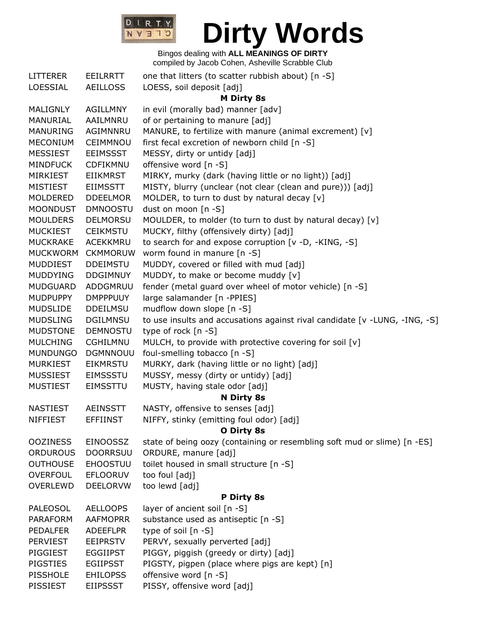

| <b>LITTERER</b> | EEILRRTT        | one that litters (to scatter rubbish about) [n -S]                         |  |  |
|-----------------|-----------------|----------------------------------------------------------------------------|--|--|
| LOESSIAL        | <b>AEILLOSS</b> | LOESS, soil deposit [adj]                                                  |  |  |
|                 |                 | <b>M Dirty 8s</b>                                                          |  |  |
| MALIGNLY        | AGILLMNY        | in evil (morally bad) manner [adv]                                         |  |  |
| MANURIAL        | AAILMNRU        | of or pertaining to manure [adj]                                           |  |  |
| <b>MANURING</b> | AGIMNNRU        | MANURE, to fertilize with manure (animal excrement) [v]                    |  |  |
| <b>MECONIUM</b> | CEIMMNOU        | first fecal excretion of newborn child [n -S]                              |  |  |
| <b>MESSIEST</b> | EEIMSSST        | MESSY, dirty or untidy [adj]                                               |  |  |
| <b>MINDFUCK</b> | CDFIKMNU        | offensive word [n -S]                                                      |  |  |
| <b>MIRKIEST</b> | <b>EIIKMRST</b> | MIRKY, murky (dark (having little or no light)) [adj]                      |  |  |
| <b>MISTIEST</b> | EIIMSSTT        | MISTY, blurry (unclear (not clear (clean and pure))) [adj]                 |  |  |
| MOLDERED        | <b>DDEELMOR</b> | MOLDER, to turn to dust by natural decay [v]                               |  |  |
| <b>MOONDUST</b> | <b>DMNOOSTU</b> | dust on moon [n -S]                                                        |  |  |
| <b>MOULDERS</b> | <b>DELMORSU</b> | MOULDER, to molder (to turn to dust by natural decay) [v]                  |  |  |
| <b>MUCKIEST</b> | <b>CEIKMSTU</b> | MUCKY, filthy (offensively dirty) [adj]                                    |  |  |
| <b>MUCKRAKE</b> | ACEKKMRU        | to search for and expose corruption [v -D, -KING, -S]                      |  |  |
| MUCKWORM        | <b>CKMMORUW</b> | worm found in manure [n -S]                                                |  |  |
| <b>MUDDIEST</b> | <b>DDEIMSTU</b> | MUDDY, covered or filled with mud [adj]                                    |  |  |
| MUDDYING        | <b>DDGIMNUY</b> | MUDDY, to make or become muddy [v]                                         |  |  |
| <b>MUDGUARD</b> | ADDGMRUU        | fender (metal guard over wheel of motor vehicle) [n -S]                    |  |  |
| <b>MUDPUPPY</b> | <b>DMPPPUUY</b> | large salamander [n -PPIES]                                                |  |  |
| <b>MUDSLIDE</b> | DDEILMSU        | mudflow down slope [n -S]                                                  |  |  |
| <b>MUDSLING</b> | <b>DGILMNSU</b> | to use insults and accusations against rival candidate [v -LUNG, -ING, -S] |  |  |
| <b>MUDSTONE</b> | <b>DEMNOSTU</b> | type of rock [n -S]                                                        |  |  |
| <b>MULCHING</b> | <b>CGHILMNU</b> | MULCH, to provide with protective covering for soil [v]                    |  |  |
| <b>MUNDUNGO</b> | <b>DGMNNOUU</b> | foul-smelling tobacco [n -S]                                               |  |  |
| <b>MURKIEST</b> | <b>EIKMRSTU</b> | MURKY, dark (having little or no light) [adj]                              |  |  |
| <b>MUSSIEST</b> | <b>EIMSSSTU</b> | MUSSY, messy (dirty or untidy) [adj]                                       |  |  |
| <b>MUSTIEST</b> | <b>EIMSSTTU</b> | MUSTY, having stale odor [adj]                                             |  |  |
|                 |                 | N Dirty 8s                                                                 |  |  |
| <b>NASTIEST</b> | <b>AEINSSTT</b> | NASTY, offensive to senses [adj]                                           |  |  |
| <b>NIFFIEST</b> | <b>EFFIINST</b> | NIFFY, stinky (emitting foul odor) [adj]                                   |  |  |
|                 |                 | O Dirty 8s                                                                 |  |  |
| <b>OOZINESS</b> | <b>EINOOSSZ</b> | state of being oozy (containing or resembling soft mud or slime) [n -ES]   |  |  |
| <b>ORDUROUS</b> | <b>DOORRSUU</b> | ORDURE, manure [adj]                                                       |  |  |
| <b>OUTHOUSE</b> | <b>EHOOSTUU</b> | toilet housed in small structure [n -S]                                    |  |  |
| <b>OVERFOUL</b> | <b>EFLOORUV</b> | too foul [adj]                                                             |  |  |
| <b>OVERLEWD</b> | <b>DEELORVW</b> | too lewd [adj]                                                             |  |  |
|                 |                 | P Dirty 8s                                                                 |  |  |
| <b>PALEOSOL</b> | <b>AELLOOPS</b> | layer of ancient soil [n -S]                                               |  |  |
| <b>PARAFORM</b> | <b>AAFMOPRR</b> | substance used as antiseptic [n -S]                                        |  |  |
| <b>PEDALFER</b> | <b>ADEEFLPR</b> | type of soil $[n -S]$                                                      |  |  |
| <b>PERVIEST</b> | <b>EEIPRSTV</b> | PERVY, sexually perverted [adj]                                            |  |  |
| PIGGIEST        | <b>EGGIIPST</b> | PIGGY, piggish (greedy or dirty) [adj]                                     |  |  |
| <b>PIGSTIES</b> | <b>EGIIPSST</b> | PIGSTY, pigpen (place where pigs are kept) [n]                             |  |  |
| <b>PISSHOLE</b> | <b>EHILOPSS</b> | offensive word [n -S]                                                      |  |  |
| PISSIEST        | <b>EIIPSSST</b> | PISSY, offensive word [adj]                                                |  |  |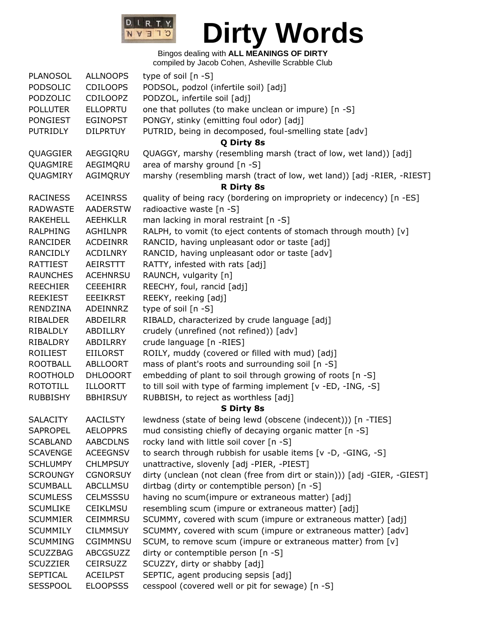

| PLANOSOL        | <b>ALLNOOPS</b> | type of soil [n -S]                                                       |  |  |  |
|-----------------|-----------------|---------------------------------------------------------------------------|--|--|--|
| PODSOLIC        | <b>CDILOOPS</b> | PODSOL, podzol (infertile soil) [adj]                                     |  |  |  |
| PODZOLIC        | <b>CDILOOPZ</b> | PODZOL, infertile soil [adj]                                              |  |  |  |
| <b>POLLUTER</b> | <b>ELLOPRTU</b> | one that pollutes (to make unclean or impure) [n -S]                      |  |  |  |
| <b>PONGIEST</b> | <b>EGINOPST</b> | PONGY, stinky (emitting foul odor) [adj]                                  |  |  |  |
| <b>PUTRIDLY</b> | <b>DILPRTUY</b> | PUTRID, being in decomposed, foul-smelling state [adv]                    |  |  |  |
|                 |                 | Q Dirty 8s                                                                |  |  |  |
| QUAGGIER        | AEGGIQRU        | QUAGGY, marshy (resembling marsh (tract of low, wet land)) [adj]          |  |  |  |
| QUAGMIRE        | AEGIMQRU        | area of marshy ground [n -S]                                              |  |  |  |
| QUAGMIRY        | AGIMQRUY        | marshy (resembling marsh (tract of low, wet land)) [adj -RIER, -RIEST]    |  |  |  |
|                 |                 | <b>R Dirty 8s</b>                                                         |  |  |  |
| <b>RACINESS</b> | <b>ACEINRSS</b> | quality of being racy (bordering on impropriety or indecency) [n -ES]     |  |  |  |
| <b>RADWASTE</b> | <b>AADERSTW</b> | radioactive waste [n -S]                                                  |  |  |  |
| <b>RAKEHELL</b> | <b>AEEHKLLR</b> | man lacking in moral restraint [n -S]                                     |  |  |  |
| <b>RALPHING</b> | <b>AGHILNPR</b> | RALPH, to vomit (to eject contents of stomach through mouth) [v]          |  |  |  |
| RANCIDER        | <b>ACDEINRR</b> | RANCID, having unpleasant odor or taste [adj]                             |  |  |  |
| <b>RANCIDLY</b> | <b>ACDILNRY</b> | RANCID, having unpleasant odor or taste [adv]                             |  |  |  |
| RATTIEST        | AEIRSTTT        | RATTY, infested with rats [adj]                                           |  |  |  |
| <b>RAUNCHES</b> | <b>ACEHNRSU</b> | RAUNCH, vulgarity [n]                                                     |  |  |  |
| <b>REECHIER</b> | <b>CEEEHIRR</b> | REECHY, foul, rancid [adj]                                                |  |  |  |
| <b>REEKIEST</b> | <b>EEEIKRST</b> | REEKY, reeking [adj]                                                      |  |  |  |
| RENDZINA        | ADEINNRZ        | type of soil [n -S]                                                       |  |  |  |
| <b>RIBALDER</b> | ABDEILRR        | RIBALD, characterized by crude language [adj]                             |  |  |  |
| RIBALDLY        | ABDILLRY        | crudely (unrefined (not refined)) [adv]                                   |  |  |  |
| RIBALDRY        | ABDILRRY        | crude language [n -RIES]                                                  |  |  |  |
| <b>ROILIEST</b> | <b>EIILORST</b> | ROILY, muddy (covered or filled with mud) [adj]                           |  |  |  |
| <b>ROOTBALL</b> | <b>ABLLOORT</b> | mass of plant's roots and surrounding soil [n -S]                         |  |  |  |
| <b>ROOTHOLD</b> | <b>DHLOOORT</b> | embedding of plant to soil through growing of roots [n -S]                |  |  |  |
| <b>ROTOTILL</b> | <b>ILLOORTT</b> | to till soil with type of farming implement [v -ED, -ING, -S]             |  |  |  |
| <b>RUBBISHY</b> | <b>BBHIRSUY</b> | RUBBISH, to reject as worthless [adj]                                     |  |  |  |
|                 |                 | S Dirty 8s                                                                |  |  |  |
| <b>SALACITY</b> | <b>AACILSTY</b> | lewdness (state of being lewd (obscene (indecent))) [n -TIES]             |  |  |  |
| <b>SAPROPEL</b> | <b>AELOPPRS</b> | mud consisting chiefly of decaying organic matter [n -S]                  |  |  |  |
| <b>SCABLAND</b> | <b>AABCDLNS</b> | rocky land with little soil cover [n -S]                                  |  |  |  |
| <b>SCAVENGE</b> | <b>ACEEGNSV</b> | to search through rubbish for usable items [v -D, -GING, -S]              |  |  |  |
| <b>SCHLUMPY</b> | <b>CHLMPSUY</b> | unattractive, slovenly [adj -PIER, -PIEST]                                |  |  |  |
| <b>SCROUNGY</b> | <b>CGNORSUY</b> | dirty (unclean (not clean (free from dirt or stain))) [adj -GIER, -GIEST] |  |  |  |
| <b>SCUMBALL</b> | <b>ABCLLMSU</b> | dirtbag (dirty or contemptible person) [n -S]                             |  |  |  |
| <b>SCUMLESS</b> | <b>CELMSSSU</b> | having no scum(impure or extraneous matter) [adj]                         |  |  |  |
| <b>SCUMLIKE</b> | <b>CEIKLMSU</b> | resembling scum (impure or extraneous matter) [adj]                       |  |  |  |
| <b>SCUMMIER</b> | <b>CEIMMRSU</b> | SCUMMY, covered with scum (impure or extraneous matter) [adj]             |  |  |  |
| <b>SCUMMILY</b> | <b>CILMMSUY</b> |                                                                           |  |  |  |
|                 |                 | SCUMMY, covered with scum (impure or extraneous matter) [adv]             |  |  |  |
| <b>SCUMMING</b> | <b>CGIMMNSU</b> | SCUM, to remove scum (impure or extraneous matter) from [v]               |  |  |  |
| <b>SCUZZBAG</b> | <b>ABCGSUZZ</b> | dirty or contemptible person [n -S]                                       |  |  |  |
| <b>SCUZZIER</b> | <b>CEIRSUZZ</b> | SCUZZY, dirty or shabby [adj]                                             |  |  |  |
| <b>SEPTICAL</b> | <b>ACEILPST</b> | SEPTIC, agent producing sepsis [adj]                                      |  |  |  |
| <b>SESSPOOL</b> | <b>ELOOPSSS</b> | cesspool (covered well or pit for sewage) [n -S]                          |  |  |  |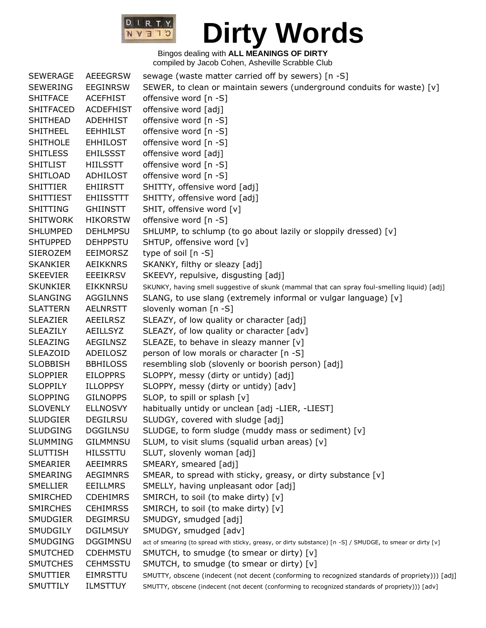

| <b>SEWERAGE</b>  | <b>AEEEGRSW</b>  | sewage (waste matter carried off by sewers) [n -S]                                                         |  |  |  |
|------------------|------------------|------------------------------------------------------------------------------------------------------------|--|--|--|
| <b>SEWERING</b>  | <b>EEGINRSW</b>  | SEWER, to clean or maintain sewers (underground conduits for waste) [v]                                    |  |  |  |
| <b>SHITFACE</b>  | <b>ACEFHIST</b>  | offensive word [n -S]                                                                                      |  |  |  |
| <b>SHITFACED</b> | <b>ACDEFHIST</b> | offensive word [adj]                                                                                       |  |  |  |
| <b>SHITHEAD</b>  | <b>ADEHHIST</b>  | offensive word [n -S]                                                                                      |  |  |  |
| <b>SHITHEEL</b>  | <b>EEHHILST</b>  | offensive word [n -S]                                                                                      |  |  |  |
| <b>SHITHOLE</b>  | <b>EHHILOST</b>  | offensive word [n -S]                                                                                      |  |  |  |
| <b>SHITLESS</b>  | <b>EHILSSST</b>  | offensive word [adj]                                                                                       |  |  |  |
| <b>SHITLIST</b>  | <b>HIILSSTT</b>  | offensive word [n -S]                                                                                      |  |  |  |
| <b>SHITLOAD</b>  | ADHILOST         | offensive word [n -S]                                                                                      |  |  |  |
| <b>SHITTIER</b>  | <b>EHIIRSTT</b>  | SHITTY, offensive word [adj]                                                                               |  |  |  |
| <b>SHITTIEST</b> | <b>EHIISSTTT</b> | SHITTY, offensive word [adj]                                                                               |  |  |  |
| <b>SHITTING</b>  | <b>GHIINSTT</b>  | SHIT, offensive word [v]                                                                                   |  |  |  |
| <b>SHITWORK</b>  | <b>HIKORSTW</b>  | offensive word [n -S]                                                                                      |  |  |  |
| <b>SHLUMPED</b>  | <b>DEHLMPSU</b>  | SHLUMP, to schlump (to go about lazily or sloppily dressed) [v]                                            |  |  |  |
| <b>SHTUPPED</b>  | <b>DEHPPSTU</b>  | SHTUP, offensive word [v]                                                                                  |  |  |  |
| <b>SIEROZEM</b>  | <b>EEIMORSZ</b>  | type of soil [n -S]                                                                                        |  |  |  |
| <b>SKANKIER</b>  | <b>AEIKKNRS</b>  | SKANKY, filthy or sleazy [adj]                                                                             |  |  |  |
| <b>SKEEVIER</b>  | <b>EEEIKRSV</b>  | SKEEVY, repulsive, disgusting [adj]                                                                        |  |  |  |
| <b>SKUNKIER</b>  | <b>EIKKNRSU</b>  | SKUNKY, having smell suggestive of skunk (mammal that can spray foul-smelling liquid) [adj]                |  |  |  |
| <b>SLANGING</b>  | <b>AGGILNNS</b>  | SLANG, to use slang (extremely informal or vulgar language) [v]                                            |  |  |  |
| <b>SLATTERN</b>  | <b>AELNRSTT</b>  | slovenly woman [n -S]                                                                                      |  |  |  |
| <b>SLEAZIER</b>  | <b>AEEILRSZ</b>  | SLEAZY, of low quality or character [adj]                                                                  |  |  |  |
| <b>SLEAZILY</b>  | <b>AEILLSYZ</b>  | SLEAZY, of low quality or character [adv]                                                                  |  |  |  |
| <b>SLEAZING</b>  | AEGILNSZ         | SLEAZE, to behave in sleazy manner [v]                                                                     |  |  |  |
| <b>SLEAZOID</b>  | ADEILOSZ         | person of low morals or character [n -S]                                                                   |  |  |  |
| <b>SLOBBISH</b>  | <b>BBHILOSS</b>  | resembling slob (slovenly or boorish person) [adj]                                                         |  |  |  |
| <b>SLOPPIER</b>  | <b>EILOPPRS</b>  | SLOPPY, messy (dirty or untidy) [adj]                                                                      |  |  |  |
| <b>SLOPPILY</b>  | <b>ILLOPPSY</b>  | SLOPPY, messy (dirty or untidy) [adv]                                                                      |  |  |  |
| <b>SLOPPING</b>  | <b>GILNOPPS</b>  | SLOP, to spill or splash [v]                                                                               |  |  |  |
| <b>SLOVENLY</b>  | <b>ELLNOSVY</b>  | habitually untidy or unclean [adj -LIER, -LIEST]                                                           |  |  |  |
| <b>SLUDGIER</b>  | <b>DEGILRSU</b>  | SLUDGY, covered with sludge [adj]                                                                          |  |  |  |
| <b>SLUDGING</b>  | <b>DGGILNSU</b>  | SLUDGE, to form sludge (muddy mass or sediment) [v]                                                        |  |  |  |
| <b>SLUMMING</b>  | <b>GILMMNSU</b>  | SLUM, to visit slums (squalid urban areas) [v]                                                             |  |  |  |
| <b>SLUTTISH</b>  | <b>HILSSTTU</b>  | SLUT, slovenly woman [adj]                                                                                 |  |  |  |
| SMEARIER         | <b>AEEIMRRS</b>  | SMEARY, smeared [adj]                                                                                      |  |  |  |
| SMEARING         | <b>AEGIMNRS</b>  | SMEAR, to spread with sticky, greasy, or dirty substance [v]                                               |  |  |  |
| <b>SMELLIER</b>  | <b>EEILLMRS</b>  | SMELLY, having unpleasant odor [adj]                                                                       |  |  |  |
| <b>SMIRCHED</b>  | <b>CDEHIMRS</b>  | SMIRCH, to soil (to make dirty) [v]                                                                        |  |  |  |
| <b>SMIRCHES</b>  | <b>CEHIMRSS</b>  | SMIRCH, to soil (to make dirty) [v]                                                                        |  |  |  |
| <b>SMUDGIER</b>  | <b>DEGIMRSU</b>  | SMUDGY, smudged [adj]                                                                                      |  |  |  |
| SMUDGILY         | <b>DGILMSUY</b>  | SMUDGY, smudged [adv]                                                                                      |  |  |  |
| SMUDGING         | <b>DGGIMNSU</b>  | act of smearing (to spread with sticky, greasy, or dirty substance) [n -S] / SMUDGE, to smear or dirty [v] |  |  |  |
| <b>SMUTCHED</b>  | <b>CDEHMSTU</b>  | SMUTCH, to smudge (to smear or dirty) [v]                                                                  |  |  |  |
| <b>SMUTCHES</b>  | <b>CEHMSSTU</b>  | SMUTCH, to smudge (to smear or dirty) [v]                                                                  |  |  |  |
| SMUTTIER         | EIMRSTTU         | SMUTTY, obscene (indecent (not decent (conforming to recognized standards of propriety))) [adj]            |  |  |  |
| SMUTTILY         | <b>ILMSTTUY</b>  | SMUTTY, obscene (indecent (not decent (conforming to recognized standards of propriety))) [adv]            |  |  |  |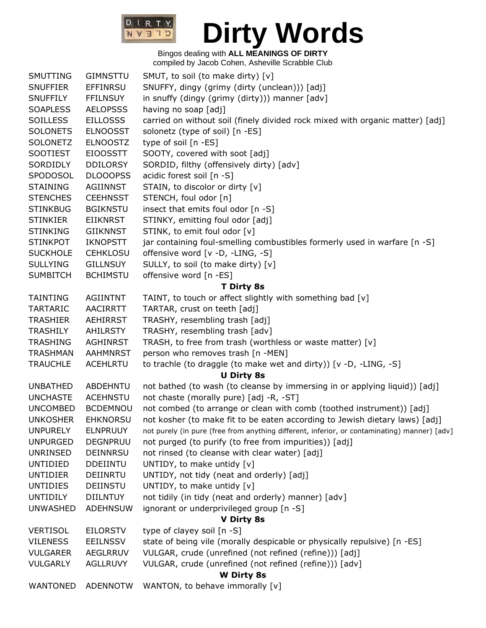

| SMUTTING        | <b>GIMNSTTU</b> | SMUT, to soil (to make dirty) [v]                                                            |  |  |  |
|-----------------|-----------------|----------------------------------------------------------------------------------------------|--|--|--|
| <b>SNUFFIER</b> | <b>EFFINRSU</b> | SNUFFY, dingy (grimy (dirty (unclean))) [adj]                                                |  |  |  |
| <b>SNUFFILY</b> | <b>FFILNSUY</b> | in snuffy (dingy (grimy (dirty))) manner [adv]                                               |  |  |  |
| <b>SOAPLESS</b> | <b>AELOPSSS</b> | having no soap [adj]                                                                         |  |  |  |
| <b>SOILLESS</b> | <b>EILLOSSS</b> | carried on without soil (finely divided rock mixed with organic matter) [adj]                |  |  |  |
| <b>SOLONETS</b> | <b>ELNOOSST</b> | solonetz (type of soil) [n -ES]                                                              |  |  |  |
| <b>SOLONETZ</b> | <b>ELNOOSTZ</b> | type of soil [n -ES]                                                                         |  |  |  |
| <b>SOOTIEST</b> | <b>EIOOSSTT</b> | SOOTY, covered with soot [adj]                                                               |  |  |  |
| SORDIDLY        | <b>DDILORSY</b> | SORDID, filthy (offensively dirty) [adv]                                                     |  |  |  |
| SPODOSOL        | <b>DLOOOPSS</b> | acidic forest soil [n -S]                                                                    |  |  |  |
| <b>STAINING</b> | AGIINNST        | STAIN, to discolor or dirty [v]                                                              |  |  |  |
| <b>STENCHES</b> | <b>CEEHNSST</b> | STENCH, foul odor [n]                                                                        |  |  |  |
| <b>STINKBUG</b> | <b>BGIKNSTU</b> | insect that emits foul odor [n -S]                                                           |  |  |  |
| <b>STINKIER</b> | <b>EIIKNRST</b> | STINKY, emitting foul odor [adj]                                                             |  |  |  |
| <b>STINKING</b> | <b>GIIKNNST</b> | STINK, to emit foul odor [v]                                                                 |  |  |  |
| <b>STINKPOT</b> | <b>IKNOPSTT</b> | jar containing foul-smelling combustibles formerly used in warfare [n -S]                    |  |  |  |
| <b>SUCKHOLE</b> | <b>CEHKLOSU</b> | offensive word [v -D, -LING, -S]                                                             |  |  |  |
| <b>SULLYING</b> | <b>GILLNSUY</b> | SULLY, to soil (to make dirty) [v]                                                           |  |  |  |
| <b>SUMBITCH</b> | <b>BCHIMSTU</b> | offensive word [n -ES]                                                                       |  |  |  |
|                 |                 | <b>T Dirty 8s</b>                                                                            |  |  |  |
| <b>TAINTING</b> | <b>AGIINTNT</b> | TAINT, to touch or affect slightly with something bad [v]                                    |  |  |  |
| <b>TARTARIC</b> | <b>AACIRRTT</b> | TARTAR, crust on teeth [adj]                                                                 |  |  |  |
| <b>TRASHIER</b> | <b>AEHIRRST</b> | TRASHY, resembling trash [adj]                                                               |  |  |  |
| <b>TRASHILY</b> | AHILRSTY        | TRASHY, resembling trash [adv]                                                               |  |  |  |
| <b>TRASHING</b> | <b>AGHINRST</b> | TRASH, to free from trash (worthless or waste matter) [v]                                    |  |  |  |
| <b>TRASHMAN</b> | <b>AAHMNRST</b> | person who removes trash [n -MEN]                                                            |  |  |  |
| <b>TRAUCHLE</b> | <b>ACEHLRTU</b> | to trachle (to draggle (to make wet and dirty)) [v -D, -LING, -S]                            |  |  |  |
|                 |                 | <b>U Dirty 8s</b>                                                                            |  |  |  |
| <b>UNBATHED</b> | ABDEHNTU        | not bathed (to wash (to cleanse by immersing in or applying liquid)) [adj]                   |  |  |  |
| <b>UNCHASTE</b> | <b>ACEHNSTU</b> | not chaste (morally pure) [adj -R, -ST]                                                      |  |  |  |
| <b>UNCOMBED</b> | <b>BCDEMNOU</b> | not combed (to arrange or clean with comb (toothed instrument)) [adj]                        |  |  |  |
| <b>UNKOSHER</b> | <b>EHKNORSU</b> | not kosher (to make fit to be eaten according to Jewish dietary laws) [adj]                  |  |  |  |
| <b>UNPURELY</b> | <b>ELNPRUUY</b> | not purely (in pure (free from anything different, inferior, or contaminating) manner) [adv] |  |  |  |
| <b>UNPURGED</b> | <b>DEGNPRUU</b> | not purged (to purify (to free from impurities)) [adj]                                       |  |  |  |
| UNRINSED        | <b>DEINNRSU</b> | not rinsed (to cleanse with clear water) [adj]                                               |  |  |  |
| UNTIDIED        | <b>DDEIINTU</b> | UNTIDY, to make untidy [v]                                                                   |  |  |  |
| <b>UNTIDIER</b> | DEIINRTU        | UNTIDY, not tidy (neat and orderly) [adj]                                                    |  |  |  |
| <b>UNTIDIES</b> | DEIINSTU        | UNTIDY, to make untidy [v]                                                                   |  |  |  |
| <b>UNTIDILY</b> | <b>DIILNTUY</b> | not tidily (in tidy (neat and orderly) manner) [adv]                                         |  |  |  |
| <b>UNWASHED</b> | <b>ADEHNSUW</b> | ignorant or underprivileged group [n -S]                                                     |  |  |  |
|                 |                 | V Dirty 8s                                                                                   |  |  |  |
| <b>VERTISOL</b> | <b>EILORSTV</b> | type of clayey soil [n -S]                                                                   |  |  |  |
| <b>VILENESS</b> | <b>EEILNSSV</b> | state of being vile (morally despicable or physically repulsive) [n -ES]                     |  |  |  |
| <b>VULGARER</b> | AEGLRRUV        | VULGAR, crude (unrefined (not refined (refine))) [adj]                                       |  |  |  |
| <b>VULGARLY</b> | <b>AGLLRUVY</b> | VULGAR, crude (unrefined (not refined (refine))) [adv]                                       |  |  |  |
|                 |                 | <b>W</b> Dirty 8s                                                                            |  |  |  |
| <b>WANTONED</b> | <b>ADENNOTW</b> | WANTON, to behave immorally [v]                                                              |  |  |  |